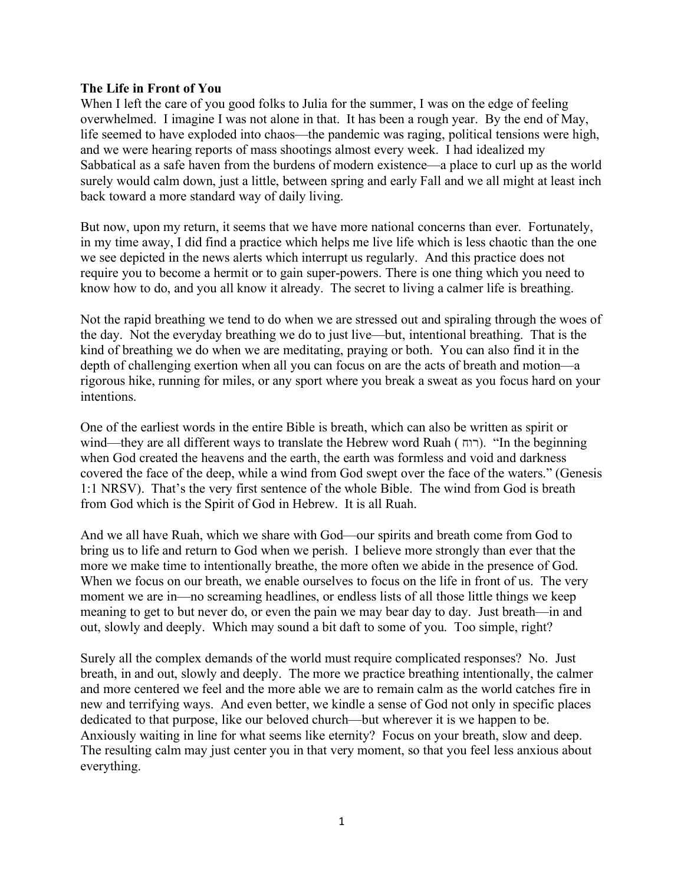## **The Life in Front of You**

When I left the care of you good folks to Julia for the summer, I was on the edge of feeling overwhelmed. I imagine I was not alone in that. It has been a rough year. By the end of May, life seemed to have exploded into chaos—the pandemic was raging, political tensions were high, and we were hearing reports of mass shootings almost every week. I had idealized my Sabbatical as a safe haven from the burdens of modern existence—a place to curl up as the world surely would calm down, just a little, between spring and early Fall and we all might at least inch back toward a more standard way of daily living.

But now, upon my return, it seems that we have more national concerns than ever. Fortunately, in my time away, I did find a practice which helps me live life which is less chaotic than the one we see depicted in the news alerts which interrupt us regularly. And this practice does not require you to become a hermit or to gain super-powers. There is one thing which you need to know how to do, and you all know it already. The secret to living a calmer life is breathing.

Not the rapid breathing we tend to do when we are stressed out and spiraling through the woes of the day. Not the everyday breathing we do to just live—but, intentional breathing. That is the kind of breathing we do when we are meditating, praying or both. You can also find it in the depth of challenging exertion when all you can focus on are the acts of breath and motion—a rigorous hike, running for miles, or any sport where you break a sweat as you focus hard on your intentions.

One of the earliest words in the entire Bible is breath, which can also be written as spirit or wind—they are all different ways to translate the Hebrew word Ruah (רוח). "In the beginning when God created the heavens and the earth, the earth was formless and void and darkness covered the face of the deep, while a wind from God swept over the face of the waters." (Genesis 1:1 NRSV). That's the very first sentence of the whole Bible. The wind from God is breath from God which is the Spirit of God in Hebrew. It is all Ruah.

And we all have Ruah, which we share with God—our spirits and breath come from God to bring us to life and return to God when we perish. I believe more strongly than ever that the more we make time to intentionally breathe, the more often we abide in the presence of God. When we focus on our breath, we enable ourselves to focus on the life in front of us. The very moment we are in—no screaming headlines, or endless lists of all those little things we keep meaning to get to but never do, or even the pain we may bear day to day. Just breath—in and out, slowly and deeply. Which may sound a bit daft to some of you. Too simple, right?

Surely all the complex demands of the world must require complicated responses? No. Just breath, in and out, slowly and deeply. The more we practice breathing intentionally, the calmer and more centered we feel and the more able we are to remain calm as the world catches fire in new and terrifying ways. And even better, we kindle a sense of God not only in specific places dedicated to that purpose, like our beloved church—but wherever it is we happen to be. Anxiously waiting in line for what seems like eternity? Focus on your breath, slow and deep. The resulting calm may just center you in that very moment, so that you feel less anxious about everything.